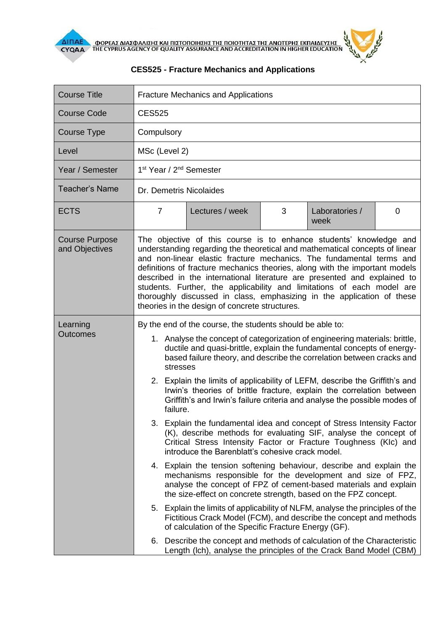

| <b>Course Title</b>                     | <b>Fracture Mechanics and Applications</b>                                                                                                                                                                                                                                                                                                                                                                                                                                                                                                                                                                                                                                                                                                                                                                                                                                                                                                                                                                                                                                                                                                                                                                                                                                                                                                                                                              |                 |   |                        |   |  |
|-----------------------------------------|---------------------------------------------------------------------------------------------------------------------------------------------------------------------------------------------------------------------------------------------------------------------------------------------------------------------------------------------------------------------------------------------------------------------------------------------------------------------------------------------------------------------------------------------------------------------------------------------------------------------------------------------------------------------------------------------------------------------------------------------------------------------------------------------------------------------------------------------------------------------------------------------------------------------------------------------------------------------------------------------------------------------------------------------------------------------------------------------------------------------------------------------------------------------------------------------------------------------------------------------------------------------------------------------------------------------------------------------------------------------------------------------------------|-----------------|---|------------------------|---|--|
| Course Code                             | <b>CES525</b>                                                                                                                                                                                                                                                                                                                                                                                                                                                                                                                                                                                                                                                                                                                                                                                                                                                                                                                                                                                                                                                                                                                                                                                                                                                                                                                                                                                           |                 |   |                        |   |  |
| <b>Course Type</b>                      | Compulsory                                                                                                                                                                                                                                                                                                                                                                                                                                                                                                                                                                                                                                                                                                                                                                                                                                                                                                                                                                                                                                                                                                                                                                                                                                                                                                                                                                                              |                 |   |                        |   |  |
| Level                                   | MSc (Level 2)                                                                                                                                                                                                                                                                                                                                                                                                                                                                                                                                                                                                                                                                                                                                                                                                                                                                                                                                                                                                                                                                                                                                                                                                                                                                                                                                                                                           |                 |   |                        |   |  |
| Year / Semester                         | 1 <sup>st</sup> Year / 2 <sup>nd</sup> Semester                                                                                                                                                                                                                                                                                                                                                                                                                                                                                                                                                                                                                                                                                                                                                                                                                                                                                                                                                                                                                                                                                                                                                                                                                                                                                                                                                         |                 |   |                        |   |  |
| <b>Teacher's Name</b>                   | Dr. Demetris Nicolaides                                                                                                                                                                                                                                                                                                                                                                                                                                                                                                                                                                                                                                                                                                                                                                                                                                                                                                                                                                                                                                                                                                                                                                                                                                                                                                                                                                                 |                 |   |                        |   |  |
| <b>ECTS</b>                             | $\overline{7}$                                                                                                                                                                                                                                                                                                                                                                                                                                                                                                                                                                                                                                                                                                                                                                                                                                                                                                                                                                                                                                                                                                                                                                                                                                                                                                                                                                                          | Lectures / week | 3 | Laboratories /<br>week | 0 |  |
| <b>Course Purpose</b><br>and Objectives | The objective of this course is to enhance students' knowledge and<br>understanding regarding the theoretical and mathematical concepts of linear<br>and non-linear elastic fracture mechanics. The fundamental terms and<br>definitions of fracture mechanics theories, along with the important models<br>described in the international literature are presented and explained to<br>students. Further, the applicability and limitations of each model are<br>thoroughly discussed in class, emphasizing in the application of these<br>theories in the design of concrete structures.                                                                                                                                                                                                                                                                                                                                                                                                                                                                                                                                                                                                                                                                                                                                                                                                              |                 |   |                        |   |  |
| Learning<br>Outcomes                    | By the end of the course, the students should be able to:<br>1. Analyse the concept of categorization of engineering materials: brittle,<br>ductile and quasi-brittle, explain the fundamental concepts of energy-<br>based failure theory, and describe the correlation between cracks and<br>stresses<br>2. Explain the limits of applicability of LEFM, describe the Griffith's and<br>Irwin's theories of brittle fracture, explain the correlation between<br>Griffith's and Irwin's failure criteria and analyse the possible modes of<br>failure.<br>3. Explain the fundamental idea and concept of Stress Intensity Factor<br>(K), describe methods for evaluating SIF, analyse the concept of<br>Critical Stress Intensity Factor or Fracture Toughness (KIc) and<br>introduce the Barenblatt's cohesive crack model.<br>4. Explain the tension softening behaviour, describe and explain the<br>mechanisms responsible for the development and size of FPZ,<br>analyse the concept of FPZ of cement-based materials and explain<br>the size-effect on concrete strength, based on the FPZ concept.<br>5. Explain the limits of applicability of NLFM, analyse the principles of the<br>Fictitious Crack Model (FCM), and describe the concept and methods<br>of calculation of the Specific Fracture Energy (GF).<br>6. Describe the concept and methods of calculation of the Characteristic |                 |   |                        |   |  |

## **CES525 - Fracture Mechanics and Applications**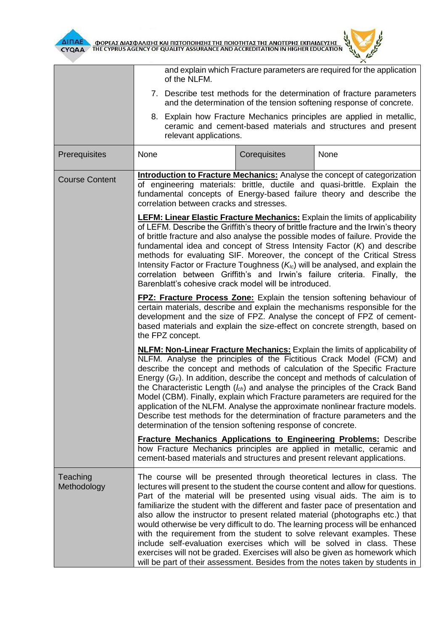



|                         | and explain which Fracture parameters are required for the application<br>of the NLFM.<br>7. Describe test methods for the determination of fracture parameters<br>and the determination of the tension softening response of concrete.<br>8. Explain how Fracture Mechanics principles are applied in metallic,<br>ceramic and cement-based materials and structures and present<br>relevant applications.                                                                                                                                                                                                                                                                                                                                                                                                       |                                                                                                                                                                                                                                                                                                                     |      |  |  |  |
|-------------------------|-------------------------------------------------------------------------------------------------------------------------------------------------------------------------------------------------------------------------------------------------------------------------------------------------------------------------------------------------------------------------------------------------------------------------------------------------------------------------------------------------------------------------------------------------------------------------------------------------------------------------------------------------------------------------------------------------------------------------------------------------------------------------------------------------------------------|---------------------------------------------------------------------------------------------------------------------------------------------------------------------------------------------------------------------------------------------------------------------------------------------------------------------|------|--|--|--|
|                         |                                                                                                                                                                                                                                                                                                                                                                                                                                                                                                                                                                                                                                                                                                                                                                                                                   |                                                                                                                                                                                                                                                                                                                     |      |  |  |  |
|                         |                                                                                                                                                                                                                                                                                                                                                                                                                                                                                                                                                                                                                                                                                                                                                                                                                   |                                                                                                                                                                                                                                                                                                                     |      |  |  |  |
| Prerequisites           | None                                                                                                                                                                                                                                                                                                                                                                                                                                                                                                                                                                                                                                                                                                                                                                                                              | Corequisites                                                                                                                                                                                                                                                                                                        | None |  |  |  |
| <b>Course Content</b>   | <b>Introduction to Fracture Mechanics:</b> Analyse the concept of categorization<br>of engineering materials: brittle, ductile and quasi-brittle. Explain the<br>fundamental concepts of Energy-based failure theory and describe the<br>correlation between cracks and stresses.                                                                                                                                                                                                                                                                                                                                                                                                                                                                                                                                 |                                                                                                                                                                                                                                                                                                                     |      |  |  |  |
|                         | <b>LEFM: Linear Elastic Fracture Mechanics:</b> Explain the limits of applicability<br>of LEFM. Describe the Griffith's theory of brittle fracture and the Irwin's theory<br>of brittle fracture and also analyse the possible modes of failure. Provide the<br>fundamental idea and concept of Stress Intensity Factor $(K)$ and describe<br>methods for evaluating SIF. Moreover, the concept of the Critical Stress<br>Intensity Factor or Fracture Toughness $(K_{1c})$ will be analysed, and explain the<br>correlation between Griffith's and Irwin's failure criteria. Finally, the<br>Barenblatt's cohesive crack model will be introduced.                                                                                                                                                               |                                                                                                                                                                                                                                                                                                                     |      |  |  |  |
|                         | the FPZ concept.                                                                                                                                                                                                                                                                                                                                                                                                                                                                                                                                                                                                                                                                                                                                                                                                  | <b>FPZ: Fracture Process Zone:</b> Explain the tension softening behaviour of<br>certain materials, describe and explain the mechanisms responsible for the<br>development and the size of FPZ. Analyse the concept of FPZ of cement-<br>based materials and explain the size-effect on concrete strength, based on |      |  |  |  |
|                         | <b>NLFM: Non-Linear Fracture Mechanics:</b> Explain the limits of applicability of<br>NLFM. Analyse the principles of the Fictitious Crack Model (FCM) and<br>describe the concept and methods of calculation of the Specific Fracture<br>Energy $(G_F)$ . In addition, describe the concept and methods of calculation of<br>the Characteristic Length $(I_{ch})$ and analyse the principles of the Crack Band<br>Model (CBM). Finally, explain which Fracture parameters are required for the<br>application of the NLFM. Analyse the approximate nonlinear fracture models.<br>Describe test methods for the determination of fracture parameters and the<br>determination of the tension softening response of concrete.                                                                                      |                                                                                                                                                                                                                                                                                                                     |      |  |  |  |
|                         | <b>Fracture Mechanics Applications to Engineering Problems:</b> Describe<br>how Fracture Mechanics principles are applied in metallic, ceramic and<br>cement-based materials and structures and present relevant applications.                                                                                                                                                                                                                                                                                                                                                                                                                                                                                                                                                                                    |                                                                                                                                                                                                                                                                                                                     |      |  |  |  |
| Teaching<br>Methodology | The course will be presented through theoretical lectures in class. The<br>lectures will present to the student the course content and allow for questions.<br>Part of the material will be presented using visual aids. The aim is to<br>familiarize the student with the different and faster pace of presentation and<br>also allow the instructor to present related material (photographs etc.) that<br>would otherwise be very difficult to do. The learning process will be enhanced<br>with the requirement from the student to solve relevant examples. These<br>include self-evaluation exercises which will be solved in class. These<br>exercises will not be graded. Exercises will also be given as homework which<br>will be part of their assessment. Besides from the notes taken by students in |                                                                                                                                                                                                                                                                                                                     |      |  |  |  |